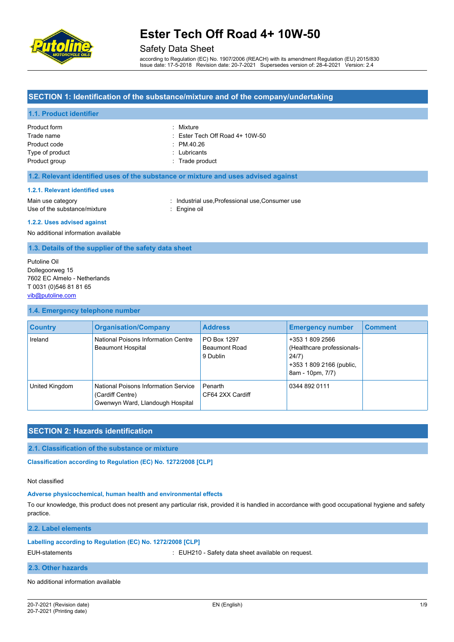

# Safety Data Sheet

according to Regulation (EC) No. 1907/2006 (REACH) with its amendment Regulation (EU) 2015/830 Issue date: 17-5-2018 Revision date: 20-7-2021 Supersedes version of: 28-4-2021 Version: 2.4

## **SECTION 1: Identification of the substance/mixture and of the company/undertaking**

## **1.1. Product identifier**

| Product form    | : Mixture                                  |
|-----------------|--------------------------------------------|
| Trade name      | $\therefore$ Ester Tech Off Road 4+ 10W-50 |
| Product code    | $\therefore$ PM 40.26                      |
| Type of product | : Lubricants                               |
| Product group   | : Trade product                            |

## **1.2. Relevant identified uses of the substance or mixture and uses advised against**

#### **1.2.1. Relevant identified uses**

Main use category **industrial use, Professional use, Consumer use** in Main use category Use of the substance/mixture in the substance oil

#### **1.2.2. Uses advised against**

No additional information available

#### **1.3. Details of the supplier of the safety data sheet**

Putoline Oil Dollegoorweg 15 7602 EC Almelo - Netherlands T 0031 (0)546 81 81 65 [vib@putoline.com](mailto:vib@putoline.com)

#### **1.4. Emergency telephone number**

| <b>Country</b> | <b>Organisation/Company</b>                                                                  | <b>Address</b>                                  | <b>Emergency number</b>                                                                                | <b>Comment</b> |
|----------------|----------------------------------------------------------------------------------------------|-------------------------------------------------|--------------------------------------------------------------------------------------------------------|----------------|
| Ireland        | National Poisons Information Centre<br><b>Beaumont Hospital</b>                              | PO Box 1297<br><b>Beaumont Road</b><br>9 Dublin | +353 1 809 2566<br>(Healthcare professionals-<br>24/7)<br>+353 1 809 2166 (public,<br>8am - 10pm, 7/7) |                |
| United Kingdom | National Poisons Information Service<br>(Cardiff Centre)<br>Gwenwyn Ward, Llandough Hospital | Penarth<br>CF64 2XX Cardiff                     | 0344 892 0111                                                                                          |                |

# **SECTION 2: Hazards identification**

**2.1. Classification of the substance or mixture**

**Classification according to Regulation (EC) No. 1272/2008 [CLP]** 

Not classified

#### **Adverse physicochemical, human health and environmental effects**

To our knowledge, this product does not present any particular risk, provided it is handled in accordance with good occupational hygiene and safety practice.

### **2.2. Label elements**

#### **Labelling according to Regulation (EC) No. 1272/2008 [CLP]**

EUH-statements **in the statements** of the statements of the statements of the statements of the statements of the statement of the statement of the statement of the statement of the statement of the statement of the statem

### **2.3. Other hazards**

No additional information available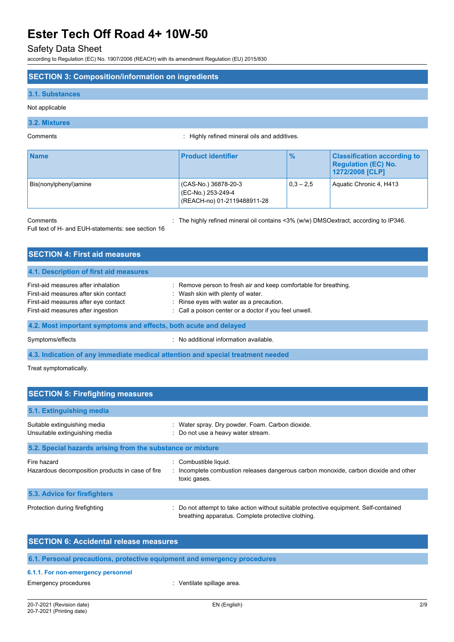# Safety Data Sheet

according to Regulation (EC) No. 1907/2006 (REACH) with its amendment Regulation (EU) 2015/830

## **SECTION 3: Composition/information on ingredients**

### **3.1. Substances**

Not applicable

# **3.2. Mixtures**

Comments : Highly refined mineral oils and additives.

| <b>Name</b>           | <b>Product identifier</b>                                                 | $\frac{9}{6}$ | <b>Classification according to</b><br><b>Regulation (EC) No.</b><br>1272/2008 [CLP] |
|-----------------------|---------------------------------------------------------------------------|---------------|-------------------------------------------------------------------------------------|
| Bis(nonylphenyl)amine | (CAS-No.) 36878-20-3<br>(EC-No.) 253-249-4<br>(REACH-no) 01-2119488911-28 | $0.3 - 2.5$   | Aquatic Chronic 4, H413                                                             |

Comments **Comments** : The highly refined mineral oil contains <3% (w/w) DMSOextract, according to IP346.

Full text of H- and EUH-statements: see section 16

| <b>SECTION 4: First aid measures</b>                                                                                                                       |                                                                                                                                                                                                             |  |  |  |  |
|------------------------------------------------------------------------------------------------------------------------------------------------------------|-------------------------------------------------------------------------------------------------------------------------------------------------------------------------------------------------------------|--|--|--|--|
| 4.1. Description of first aid measures                                                                                                                     |                                                                                                                                                                                                             |  |  |  |  |
| First-aid measures after inhalation<br>First-aid measures after skin contact<br>First-aid measures after eye contact<br>First-aid measures after ingestion | : Remove person to fresh air and keep comfortable for breathing.<br>: Wash skin with plenty of water.<br>: Rinse eyes with water as a precaution.<br>: Call a poison center or a doctor if you feel unwell. |  |  |  |  |
| 4.2. Most important symptoms and effects, both acute and delayed                                                                                           |                                                                                                                                                                                                             |  |  |  |  |
| Symptoms/effects                                                                                                                                           | : No additional information available.                                                                                                                                                                      |  |  |  |  |

**4.3. Indication of any immediate medical attention and special treatment needed**

Treat symptomatically.

| <b>SECTION 5: Firefighting measures</b>                         |                                                                                                                                             |  |  |  |
|-----------------------------------------------------------------|---------------------------------------------------------------------------------------------------------------------------------------------|--|--|--|
| 5.1. Extinguishing media                                        |                                                                                                                                             |  |  |  |
| Suitable extinguishing media<br>Unsuitable extinguishing media  | : Water spray. Dry powder. Foam. Carbon dioxide.<br>: Do not use a heavy water stream.                                                      |  |  |  |
| 5.2. Special hazards arising from the substance or mixture      |                                                                                                                                             |  |  |  |
| Fire hazard<br>Hazardous decomposition products in case of fire | Combustible liquid.<br>: Incomplete combustion releases dangerous carbon monoxide, carbon dioxide and other<br>toxic gases.                 |  |  |  |
| <b>5.3. Advice for firefighters</b>                             |                                                                                                                                             |  |  |  |
| Protection during firefighting                                  | : Do not attempt to take action without suitable protective equipment. Self-contained<br>breathing apparatus. Complete protective clothing. |  |  |  |

| <b>SECTION 6: Accidental release measures</b> |                                                                          |  |  |  |
|-----------------------------------------------|--------------------------------------------------------------------------|--|--|--|
|                                               | 6.1. Personal precautions, protective equipment and emergency procedures |  |  |  |
| 6.1.1. For non-emergency personnel            |                                                                          |  |  |  |
| Emergency procedures                          | : Ventilate spillage area.                                               |  |  |  |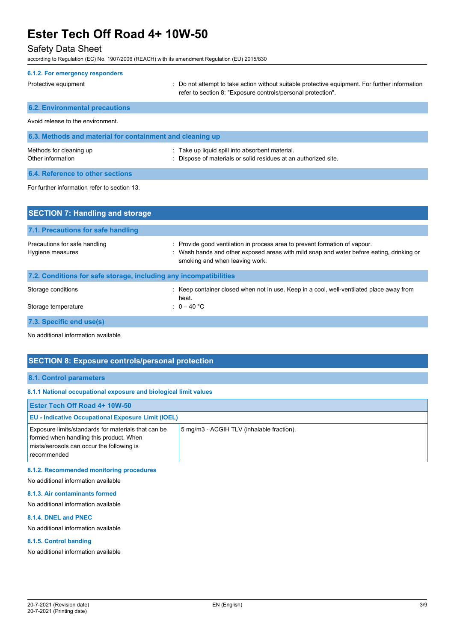# Safety Data Sheet

according to Regulation (EC) No. 1907/2006 (REACH) with its amendment Regulation (EU) 2015/830

| 6.1.2. For emergency responders                           |                                                                                                                                                                |
|-----------------------------------------------------------|----------------------------------------------------------------------------------------------------------------------------------------------------------------|
| Protective equipment                                      | : Do not attempt to take action without suitable protective equipment. For further information<br>refer to section 8. "Exposure controls/personal protection". |
| <b>6.2. Environmental precautions</b>                     |                                                                                                                                                                |
| Avoid release to the environment.                         |                                                                                                                                                                |
| 6.3. Methods and material for containment and cleaning up |                                                                                                                                                                |
| Methods for cleaning up<br>Other information              | : Take up liquid spill into absorbent material.<br>Dispose of materials or solid residues at an authorized site.                                               |
| 6.4. Reference to other sections                          |                                                                                                                                                                |
| For further information refer to section 13.              |                                                                                                                                                                |
| <b>SECTION 7: Handling and storage</b>                    |                                                                                                                                                                |
| 7.1. Precautions for safe handling                        |                                                                                                                                                                |

| Hygiene measures                                                  | : Wash hands and other exposed areas with mild soap and water before eating, drinking or<br>smoking and when leaving work. |
|-------------------------------------------------------------------|----------------------------------------------------------------------------------------------------------------------------|
| 7.2. Conditions for safe storage, including any incompatibilities |                                                                                                                            |
| Storage conditions                                                | : Keep container closed when not in use. Keep in a cool, well-ventilated place away from<br>heat.                          |
| Storage temperature                                               | : $0-40$ °C                                                                                                                |
|                                                                   |                                                                                                                            |

Precautions for safe handling **interprovide in a matter of vapour** : Provide good ventilation in process area to prevent formation of vapour.

**7.3. Specific end use(s)**

No additional information available

# **SECTION 8: Exposure controls/personal protection**

## **8.1. Control parameters**

#### **8.1.1 National occupational exposure and biological limit values**

| <b>Ester Tech Off Road 4+ 10W-50</b>                                                                                                                       |                                           |  |  |
|------------------------------------------------------------------------------------------------------------------------------------------------------------|-------------------------------------------|--|--|
| <b>EU - Indicative Occupational Exposure Limit (IOEL)</b>                                                                                                  |                                           |  |  |
| Exposure limits/standards for materials that can be<br>formed when handling this product. When<br>mists/aerosols can occur the following is<br>recommended | 5 mg/m3 - ACGIH TLV (inhalable fraction). |  |  |

## **8.1.2. Recommended monitoring procedures**

No additional information available

## **8.1.3. Air contaminants formed**

No additional information available

## **8.1.4. DNEL and PNEC**

No additional information available

## **8.1.5. Control banding**

No additional information available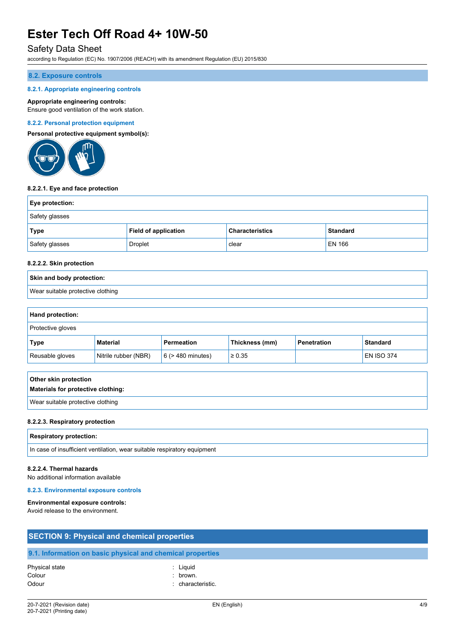# Safety Data Sheet

according to Regulation (EC) No. 1907/2006 (REACH) with its amendment Regulation (EU) 2015/830

#### **8.2. Exposure controls**

### **8.2.1. Appropriate engineering controls**

### **Appropriate engineering controls:**

Ensure good ventilation of the work station.

### **8.2.2. Personal protection equipment**

**Personal protective equipment symbol(s):**



#### **8.2.2.1. Eye and face protection**

| <b>Eye protection:</b> |                             |                        |                 |
|------------------------|-----------------------------|------------------------|-----------------|
| Safety glasses         |                             |                        |                 |
| <b>Type</b>            | <b>Field of application</b> | <b>Characteristics</b> | <b>Standard</b> |
| Safety glasses         | Droplet                     | clear                  | EN 166          |

# **8.2.2.2. Skin protection**

# **Skin and body protection:** Wear suitable protective clothing

### **Hand protection:**

| Protective gloves |                      |                        |                |                    |                   |
|-------------------|----------------------|------------------------|----------------|--------------------|-------------------|
| Type              | Material             | <b>Permeation</b>      | Thickness (mm) | <b>Penetration</b> | <b>Standard</b>   |
| Reusable gloves   | Nitrile rubber (NBR) | $6$ ( $>$ 480 minutes) | $\geq 0.35$    |                    | <b>EN ISO 374</b> |

| Other skin protection              |  |
|------------------------------------|--|
| Materials for protective clothing: |  |
| Wear suitable protective clothing  |  |

#### **8.2.2.3. Respiratory protection**

#### **Respiratory protection:**

In case of insufficient ventilation, wear suitable respiratory equipment

### **8.2.2.4. Thermal hazards**

No additional information available

## **8.2.3. Environmental exposure controls**

#### **Environmental exposure controls:**

Avoid release to the environment.

| <b>SECTION 9: Physical and chemical properties</b> |                                                            |  |
|----------------------------------------------------|------------------------------------------------------------|--|
|                                                    | 9.1. Information on basic physical and chemical properties |  |
| Physical state                                     | : Liguid                                                   |  |
| Colour                                             | brown.                                                     |  |
| Odour                                              | : characteristic.                                          |  |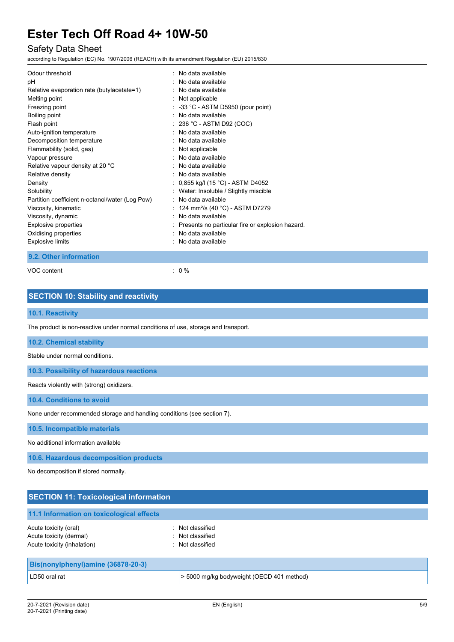# Safety Data Sheet

according to Regulation (EC) No. 1907/2006 (REACH) with its amendment Regulation (EU) 2015/830

| Odour threshold                                 | : No data available                                |
|-------------------------------------------------|----------------------------------------------------|
| рH                                              | No data available                                  |
| Relative evaporation rate (butylacetate=1)      | No data available                                  |
| Melting point                                   | : Not applicable                                   |
| Freezing point                                  | $\therefore$ -33 °C - ASTM D5950 (pour point)      |
| Boiling point                                   | . No data available                                |
| Flash point                                     | $: 236 °C$ - ASTM D92 (COC)                        |
| Auto-ignition temperature                       | No data available                                  |
| Decomposition temperature                       | No data available                                  |
| Flammability (solid, gas)                       | : Not applicable                                   |
| Vapour pressure                                 | No data available                                  |
| Relative vapour density at 20 °C                | No data available                                  |
| Relative density                                | $:$ No data available                              |
| Density                                         | : $0,855$ kg/l (15 °C) - ASTM D4052                |
| Solubility                                      | : Water: Insoluble / Slightly miscible             |
| Partition coefficient n-octanol/water (Log Pow) | : No data available                                |
| Viscosity, kinematic                            | 124 mm <sup>2</sup> /s (40 °C) - ASTM D7279        |
| Viscosity, dynamic                              | No data available                                  |
| Explosive properties                            | : Presents no particular fire or explosion hazard. |
| Oxidising properties                            | No data available                                  |
| <b>Explosive limits</b>                         | No data available                                  |

## **9.2. Other information**

VOC content : 0 %

# **SECTION 10: Stability and reactivity**

# **10.1. Reactivity**

The product is non-reactive under normal conditions of use, storage and transport.

### **10.2. Chemical stability**

Stable under normal conditions.

**10.3. Possibility of hazardous reactions**

Reacts violently with (strong) oxidizers.

**10.4. Conditions to avoid**

None under recommended storage and handling conditions (see section 7).

**10.5. Incompatible materials**

No additional information available

**10.6. Hazardous decomposition products**

No decomposition if stored normally.

| <b>SECTION 11: Toxicological information</b>                                    |                                                          |  |  |
|---------------------------------------------------------------------------------|----------------------------------------------------------|--|--|
| 11.1 Information on toxicological effects                                       |                                                          |  |  |
| Acute toxicity (oral)<br>Acute toxicity (dermal)<br>Acute toxicity (inhalation) | : Not classified<br>: Not classified<br>: Not classified |  |  |
| Bis(nonylphenyl)amine (36878-20-3)                                              |                                                          |  |  |
| LD50 oral rat                                                                   | > 5000 mg/kg bodyweight (OECD 401 method)                |  |  |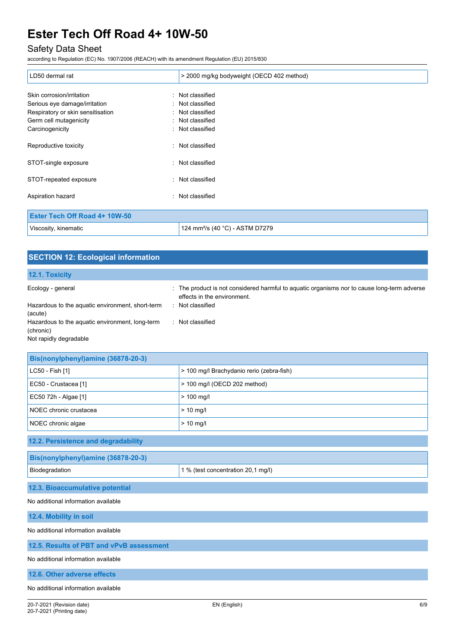# Safety Data Sheet

according to Regulation (EC) No. 1907/2006 (REACH) with its amendment Regulation (EU) 2015/830

| LD50 dermal rat                   | > 2000 mg/kg bodyweight (OECD 402 method)   |  |
|-----------------------------------|---------------------------------------------|--|
| Skin corrosion/irritation         | : Not classified                            |  |
| Serious eye damage/irritation     | : Not classified                            |  |
| Respiratory or skin sensitisation | : Not classified                            |  |
| Germ cell mutagenicity            | : Not classified                            |  |
| Carcinogenicity                   | : Not classified                            |  |
| Reproductive toxicity             | : Not classified                            |  |
| STOT-single exposure              | : Not classified                            |  |
| STOT-repeated exposure            | : Not classified                            |  |
| Aspiration hazard                 | : Not classified                            |  |
| Ester Tech Off Road 4+ 10W-50     |                                             |  |
| Viscosity, kinematic              | 124 mm <sup>2</sup> /s (40 °C) - ASTM D7279 |  |

| <b>SECTION 12: Ecological information</b>                                              |                                                                                                                            |  |  |
|----------------------------------------------------------------------------------------|----------------------------------------------------------------------------------------------------------------------------|--|--|
| 12.1. Toxicity                                                                         |                                                                                                                            |  |  |
| Ecology - general                                                                      | : The product is not considered harmful to aquatic organisms nor to cause long-term adverse<br>effects in the environment. |  |  |
| Hazardous to the aquatic environment, short-term<br>(acute)                            | : Not classified                                                                                                           |  |  |
| Hazardous to the aquatic environment, long-term<br>(chronic)<br>Not rapidly degradable | : Not classified                                                                                                           |  |  |

| Bis(nonylphenyl)amine (36878-20-3)  |                                           |  |
|-------------------------------------|-------------------------------------------|--|
| LC50 - Fish [1]                     | > 100 mg/l Brachydanio rerio (zebra-fish) |  |
| EC50 - Crustacea [1]                | > 100 mg/l (OECD 202 method)              |  |
| EC50 72h - Algae [1]                | $> 100$ mg/l                              |  |
| NOEC chronic crustacea              | $> 10$ mg/                                |  |
| NOEC chronic algae                  | $> 10$ mg/l                               |  |
| 12.2. Persistence and degradability |                                           |  |
| Bis(nonylphenyl)amine (36878-20-3)  |                                           |  |
| Biodegradation                      | 1 % (test concentration 20,1 mg/l)        |  |
| 12.3. Bioaccumulative potential     |                                           |  |
| No additional information available |                                           |  |

**12.4. Mobility in soil**

No additional information available

**12.5. Results of PBT and vPvB assessment**

No additional information available

**12.6. Other adverse effects**

No additional information available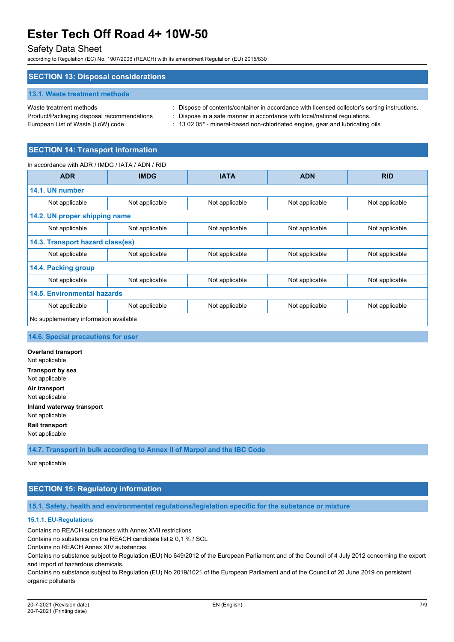# Safety Data Sheet

according to Regulation (EC) No. 1907/2006 (REACH) with its amendment Regulation (EU) 2015/830

### **SECTION 13: Disposal considerations**

#### **13.1. Waste treatment methods**

European List of Waste (LoW) code : 13 02 05<sup>\*</sup> - mineral-based non-chlorinated engine, gear and lubricating oils

Waste treatment methods : Dispose of contents/container in accordance with licensed collector's sorting instructions.

Product/Packaging disposal recommendations : Dispose in a safe manner in accordance with local/national regulations.

# **SECTION 14: Transport information**

In accordance with ADR / IMDG / IATA / ADN / RID

| <b>ADR</b>                             | <b>IMDG</b>    | <b>IATA</b>    | <b>ADN</b>     | <b>RID</b>     |
|----------------------------------------|----------------|----------------|----------------|----------------|
| 14.1. UN number                        |                |                |                |                |
| Not applicable                         | Not applicable | Not applicable | Not applicable | Not applicable |
| 14.2. UN proper shipping name          |                |                |                |                |
| Not applicable                         | Not applicable | Not applicable | Not applicable | Not applicable |
| 14.3. Transport hazard class(es)       |                |                |                |                |
| Not applicable                         | Not applicable | Not applicable | Not applicable | Not applicable |
| 14.4. Packing group                    |                |                |                |                |
| Not applicable                         | Not applicable | Not applicable | Not applicable | Not applicable |
| <b>14.5. Environmental hazards</b>     |                |                |                |                |
| Not applicable                         | Not applicable | Not applicable | Not applicable | Not applicable |
| No supplementary information available |                |                |                |                |

## **14.6. Special precautions for user**

**Overland transport** Not applicable **Transport by sea** Not applicable **Air transport** Not applicable **Inland waterway transport** Not applicable **Rail transport**

**14.7. Transport in bulk according to Annex II of Marpol and the IBC Code**

Not applicable

Not applicable

# **SECTION 15: Regulatory information**

**15.1. Safety, health and environmental regulations/legislation specific for the substance or mixture**

### **15.1.1. EU-Regulations**

Contains no REACH substances with Annex XVII restrictions

Contains no substance on the REACH candidate list ≥ 0,1 % / SCL

Contains no REACH Annex XIV substances

Contains no substance subject to Regulation (EU) No 649/2012 of the European Parliament and of the Council of 4 July 2012 concerning the export and import of hazardous chemicals.

Contains no substance subject to Regulation (EU) No 2019/1021 of the European Parliament and of the Council of 20 June 2019 on persistent organic pollutants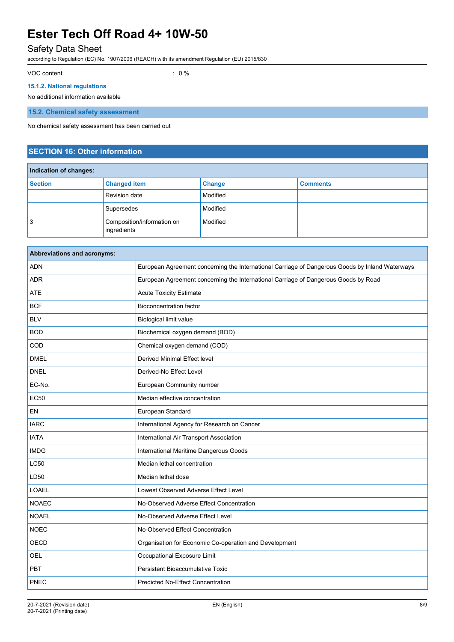# Safety Data Sheet

according to Regulation (EC) No. 1907/2006 (REACH) with its amendment Regulation (EU) 2015/830

VOC content : 0 %

## **15.1.2. National regulations**

No additional information available

**15.2. Chemical safety assessment**

No chemical safety assessment has been carried out

# **SECTION 16: Other information**

| Indication of changes: |                                           |               |                 |
|------------------------|-------------------------------------------|---------------|-----------------|
| <b>Section</b>         | <b>Changed item</b>                       | <b>Change</b> | <b>Comments</b> |
|                        | <b>Revision date</b>                      | Modified      |                 |
|                        | Supersedes                                | Modified      |                 |
| 3                      | Composition/information on<br>ingredients | Modified      |                 |

| European Agreement concerning the International Carriage of Dangerous Goods by Inland Waterways |
|-------------------------------------------------------------------------------------------------|
| European Agreement concerning the International Carriage of Dangerous Goods by Road             |
| <b>Acute Toxicity Estimate</b>                                                                  |
| <b>Bioconcentration factor</b>                                                                  |
| <b>Biological limit value</b>                                                                   |
| Biochemical oxygen demand (BOD)                                                                 |
| Chemical oxygen demand (COD)                                                                    |
| Derived Minimal Effect level                                                                    |
| Derived-No Effect Level                                                                         |
| European Community number                                                                       |
| Median effective concentration                                                                  |
| European Standard                                                                               |
| International Agency for Research on Cancer                                                     |
| International Air Transport Association                                                         |
| International Maritime Dangerous Goods                                                          |
| Median lethal concentration                                                                     |
| Median lethal dose                                                                              |
| Lowest Observed Adverse Effect Level                                                            |
| No-Observed Adverse Effect Concentration                                                        |
| No-Observed Adverse Effect Level                                                                |
| No-Observed Effect Concentration                                                                |
| Organisation for Economic Co-operation and Development                                          |
| Occupational Exposure Limit                                                                     |
| Persistent Bioaccumulative Toxic                                                                |
| <b>Predicted No-Effect Concentration</b>                                                        |
|                                                                                                 |